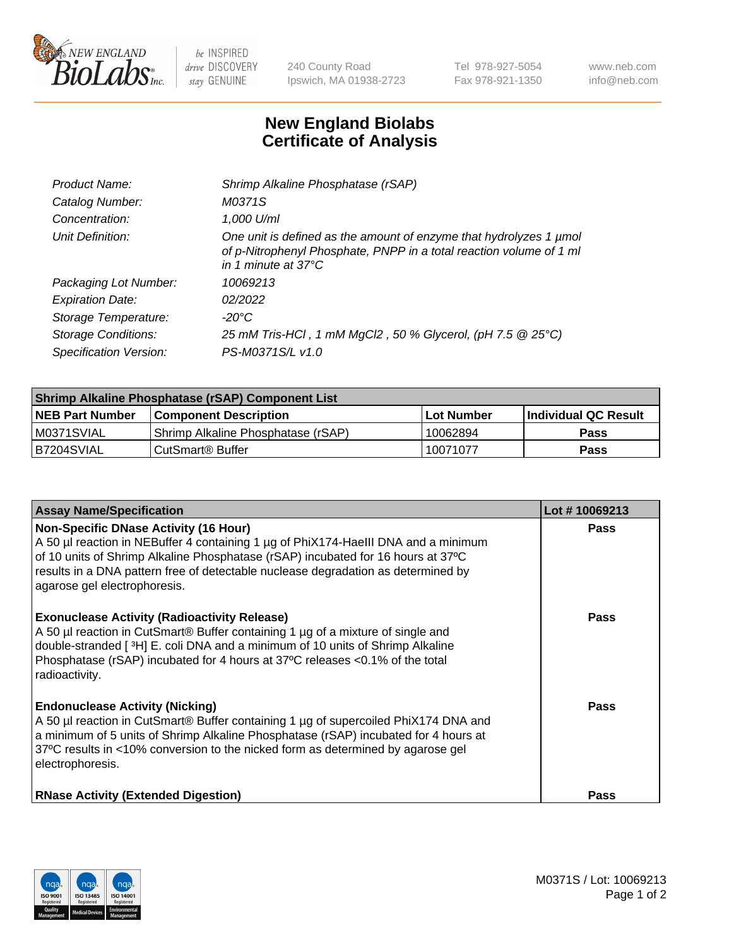

 $be$  INSPIRED drive DISCOVERY stay GENUINE

240 County Road Ipswich, MA 01938-2723 Tel 978-927-5054 Fax 978-921-1350 www.neb.com info@neb.com

## **New England Biolabs Certificate of Analysis**

| Product Name:              | Shrimp Alkaline Phosphatase (rSAP)                                                                                                                                         |
|----------------------------|----------------------------------------------------------------------------------------------------------------------------------------------------------------------------|
| Catalog Number:            | M0371S                                                                                                                                                                     |
| Concentration:             | 1,000 U/ml                                                                                                                                                                 |
| Unit Definition:           | One unit is defined as the amount of enzyme that hydrolyzes 1 µmol<br>of p-Nitrophenyl Phosphate, PNPP in a total reaction volume of 1 ml<br>in 1 minute at $37^{\circ}$ C |
| Packaging Lot Number:      | 10069213                                                                                                                                                                   |
| <b>Expiration Date:</b>    | 02/2022                                                                                                                                                                    |
| Storage Temperature:       | $-20^{\circ}$ C                                                                                                                                                            |
| <b>Storage Conditions:</b> | 25 mM Tris-HCl, 1 mM MgCl2, 50 % Glycerol, (pH 7.5 @ 25°C)                                                                                                                 |
| Specification Version:     | PS-M0371S/L v1.0                                                                                                                                                           |

| <b>Shrimp Alkaline Phosphatase (rSAP) Component List</b> |                                     |            |                      |  |
|----------------------------------------------------------|-------------------------------------|------------|----------------------|--|
| <b>NEB Part Number</b>                                   | <b>Component Description</b>        | Lot Number | Individual QC Result |  |
| IM0371SVIAL                                              | 'Shrimp Alkaline Phosphatase (rSAP) | 10062894   | <b>Pass</b>          |  |
| IB7204SVIAL                                              | l CutSmart® Buffer                  | 10071077   | <b>Pass</b>          |  |

| <b>Assay Name/Specification</b>                                                                                                                                                                                                                                                                                                             | Lot #10069213 |
|---------------------------------------------------------------------------------------------------------------------------------------------------------------------------------------------------------------------------------------------------------------------------------------------------------------------------------------------|---------------|
| <b>Non-Specific DNase Activity (16 Hour)</b><br>A 50 µl reaction in NEBuffer 4 containing 1 µg of PhiX174-HaellI DNA and a minimum<br>of 10 units of Shrimp Alkaline Phosphatase (rSAP) incubated for 16 hours at 37°C<br>results in a DNA pattern free of detectable nuclease degradation as determined by<br>agarose gel electrophoresis. | <b>Pass</b>   |
| <b>Exonuclease Activity (Radioactivity Release)</b><br>A 50 µl reaction in CutSmart® Buffer containing 1 µg of a mixture of single and<br>double-stranded [3H] E. coli DNA and a minimum of 10 units of Shrimp Alkaline<br>Phosphatase (rSAP) incubated for 4 hours at 37°C releases <0.1% of the total<br>radioactivity.                   | <b>Pass</b>   |
| <b>Endonuclease Activity (Nicking)</b><br>A 50 µl reaction in CutSmart® Buffer containing 1 µg of supercoiled PhiX174 DNA and<br>a minimum of 5 units of Shrimp Alkaline Phosphatase (rSAP) incubated for 4 hours at<br>37°C results in <10% conversion to the nicked form as determined by agarose gel<br>electrophoresis.                 | Pass          |
| <b>RNase Activity (Extended Digestion)</b>                                                                                                                                                                                                                                                                                                  | <b>Pass</b>   |